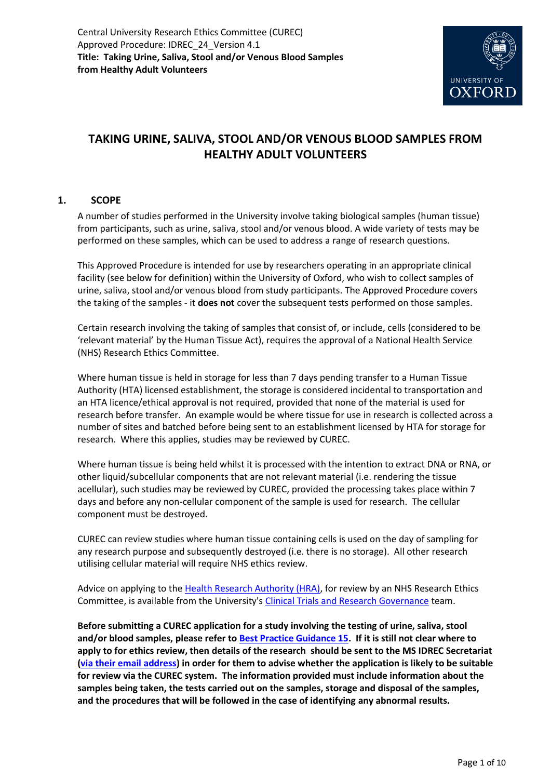

# **TAKING URINE, SALIVA, STOOL AND/OR VENOUS BLOOD SAMPLES FROM HEALTHY ADULT VOLUNTEERS**

### **1. SCOPE**

A number of studies performed in the University involve taking biological samples (human tissue) from participants, such as urine, saliva, stool and/or venous blood. A wide variety of tests may be performed on these samples, which can be used to address a range of research questions.

This Approved Procedure is intended for use by researchers operating in an appropriate clinical facility (see below for definition) within the University of Oxford, who wish to collect samples of urine, saliva, stool and/or venous blood from study participants. The Approved Procedure covers the taking of the samples - it **does not** cover the subsequent tests performed on those samples.

Certain research involving the taking of samples that consist of, or include, cells (considered to be 'relevant material' by the Human Tissue Act), requires the approval of a National Health Service (NHS) Research Ethics Committee.

Where human tissue is held in storage for less than 7 days pending transfer to a Human Tissue Authority (HTA) licensed establishment, the storage is considered incidental to transportation and an HTA licence/ethical approval is not required, provided that none of the material is used for research before transfer. An example would be where tissue for use in research is collected across a number of sites and batched before being sent to an establishment licensed by HTA for storage for research. Where this applies, studies may be reviewed by CUREC.

Where human tissue is being held whilst it is processed with the intention to extract DNA or RNA, or other liquid/subcellular components that are not relevant material (i.e. rendering the tissue acellular), such studies may be reviewed by CUREC, provided the processing takes place within 7 days and before any non-cellular component of the sample is used for research. The cellular component must be destroyed.

CUREC can review studies where human tissue containing cells is used on the day of sampling for any research purpose and subsequently destroyed (i.e. there is no storage). All other research utilising cellular material will require NHS ethics review.

Advice on applying to th[e Health Research Authority \(HRA\),](https://www.hra.nhs.uk/about-us/committees-and-services/res-and-recs/) for review by an NHS Research Ethics Committee, is available from the University'[s Clinical Trials and Research Governance](https://researchsupport.admin.ox.ac.uk/ctrg) team.

**Before submitting a CUREC application for a study involving the testing of urine, saliva, stool and/or blood samples, please refer t[o Best Practice Guidance 15.](https://researchsupport.admin.ox.ac.uk/governance/ethics/resources/bpg) If it is still not clear where to apply to for ethics review, then details of the research should be sent to the MS IDREC Secretariat [\(via their email address\)](mailto:ethics@medsci.ox.ac.uk) in order for them to advise whether the application is likely to be suitable for review via the CUREC system. The information provided must include information about the samples being taken, the tests carried out on the samples, storage and disposal of the samples, and the procedures that will be followed in the case of identifying any abnormal results.**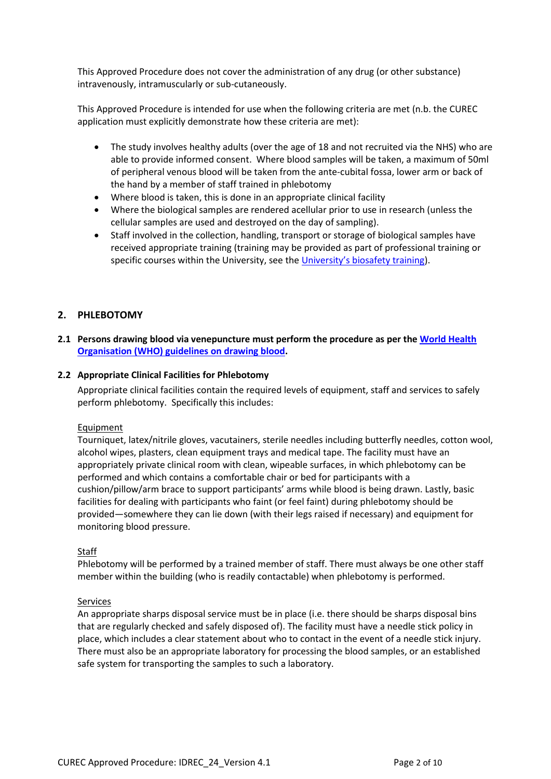This Approved Procedure does not cover the administration of any drug (or other substance) intravenously, intramuscularly or sub-cutaneously.

This Approved Procedure is intended for use when the following criteria are met (n.b. the CUREC application must explicitly demonstrate how these criteria are met):

- The study involves healthy adults (over the age of 18 and not recruited via the NHS) who are able to provide informed consent. Where blood samples will be taken, a maximum of 50ml of peripheral venous blood will be taken from the ante-cubital fossa, lower arm or back of the hand by a member of staff trained in phlebotomy
- Where blood is taken, this is done in an appropriate clinical facility
- Where the biological samples are rendered acellular prior to use in research (unless the cellular samples are used and destroyed on the day of sampling).
- Staff involved in the collection, handling, transport or storage of biological samples have received appropriate training (training may be provided as part of professional training or specific courses within the University, see the [University's biosafety training](https://safety.admin.ox.ac.uk/training-a-z#widget-id-1530851)).

### **2. PHLEBOTOMY**

**2.1 Persons drawing blood via venepuncture must perform the procedure as per th[e World Health](https://www.who.int/infection-prevention/tools/injections/drawing_blood_best/en/)  [Organisation \(WHO\) guidelines on drawing blood.](https://www.who.int/infection-prevention/tools/injections/drawing_blood_best/en/)**

#### **2.2 Appropriate Clinical Facilities for Phlebotomy**

Appropriate clinical facilities contain the required levels of equipment, staff and services to safely perform phlebotomy. Specifically this includes:

#### Equipment

Tourniquet, latex/nitrile gloves, vacutainers, sterile needles including butterfly needles, cotton wool, alcohol wipes, plasters, clean equipment trays and medical tape. The facility must have an appropriately private clinical room with clean, wipeable surfaces, in which phlebotomy can be performed and which contains a comfortable chair or bed for participants with a cushion/pillow/arm brace to support participants' arms while blood is being drawn. Lastly, basic facilities for dealing with participants who faint (or feel faint) during phlebotomy should be provided—somewhere they can lie down (with their legs raised if necessary) and equipment for monitoring blood pressure.

#### Staff

Phlebotomy will be performed by a trained member of staff. There must always be one other staff member within the building (who is readily contactable) when phlebotomy is performed.

#### Services

An appropriate sharps disposal service must be in place (i.e. there should be sharps disposal bins that are regularly checked and safely disposed of). The facility must have a needle stick policy in place, which includes a clear statement about who to contact in the event of a needle stick injury. There must also be an appropriate laboratory for processing the blood samples, or an established safe system for transporting the samples to such a laboratory.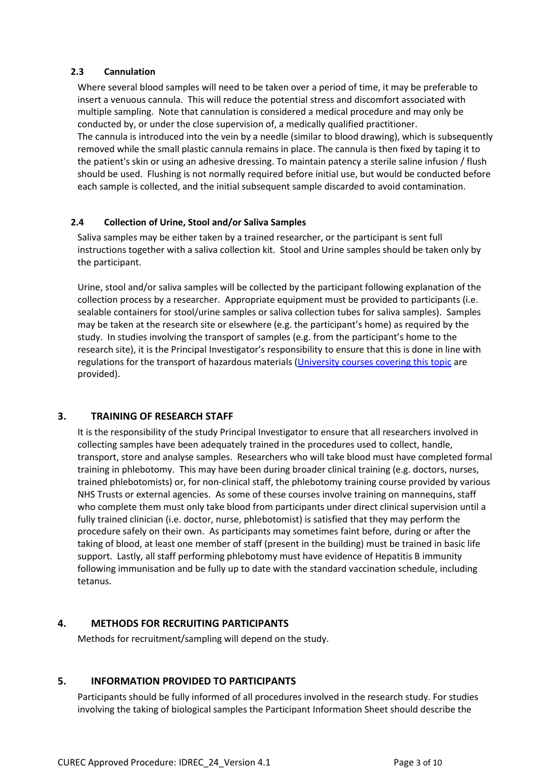### **2.3 Cannulation**

Where several blood samples will need to be taken over a period of time, it may be preferable to insert a venuous cannula. This will reduce the potential stress and discomfort associated with multiple sampling. Note that cannulation is considered a medical procedure and may only be conducted by, or under the close supervision of, a medically qualified practitioner. The cannula is introduced into the vein by a needle (similar to blood drawing), which is subsequently removed while the small plastic [cannula](https://en.wikipedia.org/wiki/Cannula) remains in place. The cannula is then fixed by taping it to the patient's skin or using an adhesive dressing. To maintain patency a sterile saline infusion / flush should be used. Flushing is not normally required before initial use, but would be conducted before each sample is collected, and the initial subsequent sample discarded to avoid contamination.

### **2.4 Collection of Urine, Stool and/or Saliva Samples**

Saliva samples may be either taken by a trained researcher, or the participant is sent full instructions together with a saliva collection kit. Stool and Urine samples should be taken only by the participant.

Urine, stool and/or saliva samples will be collected by the participant following explanation of the collection process by a researcher. Appropriate equipment must be provided to participants (i.e. sealable containers for stool/urine samples or saliva collection tubes for saliva samples). Samples may be taken at the research site or elsewhere (e.g. the participant's home) as required by the study. In studies involving the transport of samples (e.g. from the participant's home to the research site), it is the Principal Investigator's responsibility to ensure that this is done in line with regulations for the transport of hazardous materials [\(University courses covering this topic](https://safety.admin.ox.ac.uk/training-a-z#widget-id-1530851) are provided).

### **3. TRAINING OF RESEARCH STAFF**

It is the responsibility of the study Principal Investigator to ensure that all researchers involved in collecting samples have been adequately trained in the procedures used to collect, handle, transport, store and analyse samples. Researchers who will take blood must have completed formal training in phlebotomy. This may have been during broader clinical training (e.g. doctors, nurses, trained phlebotomists) or, for non-clinical staff, the phlebotomy training course provided by various NHS Trusts or external agencies. As some of these courses involve training on mannequins, staff who complete them must only take blood from participants under direct clinical supervision until a fully trained clinician (i.e. doctor, nurse, phlebotomist) is satisfied that they may perform the procedure safely on their own. As participants may sometimes faint before, during or after the taking of blood, at least one member of staff (present in the building) must be trained in basic life support. Lastly, all staff performing phlebotomy must have evidence of Hepatitis B immunity following immunisation and be fully up to date with the standard vaccination schedule, including tetanus.

### **4. METHODS FOR RECRUITING PARTICIPANTS**

Methods for recruitment/sampling will depend on the study.

### **5. INFORMATION PROVIDED TO PARTICIPANTS**

Participants should be fully informed of all procedures involved in the research study. For studies involving the taking of biological samples the Participant Information Sheet should describe the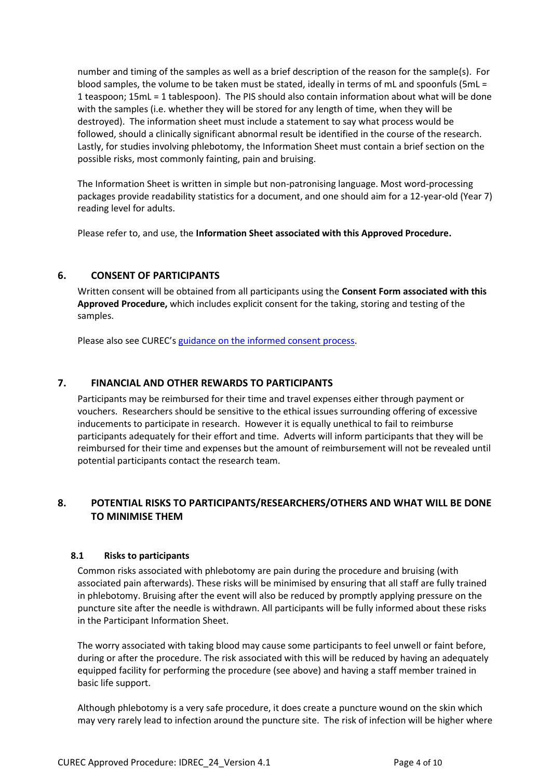number and timing of the samples as well as a brief description of the reason for the sample(s). For blood samples, the volume to be taken must be stated, ideally in terms of mL and spoonfuls (5mL = 1 teaspoon; 15mL = 1 tablespoon). The PIS should also contain information about what will be done with the samples (i.e. whether they will be stored for any length of time, when they will be destroyed). The information sheet must include a statement to say what process would be followed, should a clinically significant abnormal result be identified in the course of the research. Lastly, for studies involving phlebotomy, the Information Sheet must contain a brief section on the possible risks, most commonly fainting, pain and bruising.

The Information Sheet is written in simple but non-patronising language. Most word-processing packages provide readability statistics for a document, and one should aim for a 12-year-old (Year 7) reading level for adults.

Please refer to, and use, the **Information Sheet associated with this Approved Procedure.**

### **6. CONSENT OF PARTICIPANTS**

Written consent will be obtained from all participants using the **Consent Form associated with this Approved Procedure,** which includes explicit consent for the taking, storing and testing of the samples.

Please also see CUREC's [guidance on the informed consent process.](http://researchsupport.admin.ox.ac.uk/governance/ethics/resources/consent)

### **7. FINANCIAL AND OTHER REWARDS TO PARTICIPANTS**

Participants may be reimbursed for their time and travel expenses either through payment or vouchers. Researchers should be sensitive to the ethical issues surrounding offering of excessive inducements to participate in research. However it is equally unethical to fail to reimburse participants adequately for their effort and time. Adverts will inform participants that they will be reimbursed for their time and expenses but the amount of reimbursement will not be revealed until potential participants contact the research team.

# **8. POTENTIAL RISKS TO PARTICIPANTS/RESEARCHERS/OTHERS AND WHAT WILL BE DONE TO MINIMISE THEM**

#### **8.1 Risks to participants**

Common risks associated with phlebotomy are pain during the procedure and bruising (with associated pain afterwards). These risks will be minimised by ensuring that all staff are fully trained in phlebotomy. Bruising after the event will also be reduced by promptly applying pressure on the puncture site after the needle is withdrawn. All participants will be fully informed about these risks in the Participant Information Sheet.

The worry associated with taking blood may cause some participants to feel unwell or faint before, during or after the procedure. The risk associated with this will be reduced by having an adequately equipped facility for performing the procedure (see above) and having a staff member trained in basic life support.

Although phlebotomy is a very safe procedure, it does create a puncture wound on the skin which may very rarely lead to infection around the puncture site. The risk of infection will be higher where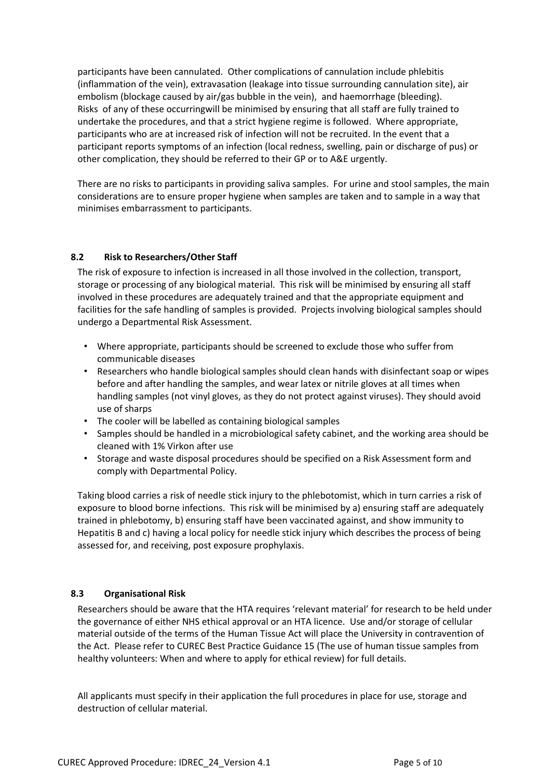participants have been cannulated. Other complications of cannulation include phlebitis (inflammation of the vein), extravasation (leakage into tissue surrounding cannulation site), air embolism (blockage caused by air/gas bubble in the vein), and haemorrhage (bleeding). Risks of any of these occurringwill be minimised by ensuring that all staff are fully trained to undertake the procedures, and that a strict hygiene regime is followed. Where appropriate, participants who are at increased risk of infection will not be recruited. In the event that a participant reports symptoms of an infection (local redness, swelling, pain or discharge of pus) or other complication, they should be referred to their GP or to A&E urgently.

There are no risks to participants in providing saliva samples. For urine and stool samples, the main considerations are to ensure proper hygiene when samples are taken and to sample in a way that minimises embarrassment to participants.

### **8.2 Risk to Researchers/Other Staff**

The risk of exposure to infection is increased in all those involved in the collection, transport, storage or processing of any biological material. This risk will be minimised by ensuring all staff involved in these procedures are adequately trained and that the appropriate equipment and facilities for the safe handling of samples is provided. Projects involving biological samples should undergo a Departmental Risk Assessment.

- Where appropriate, participants should be screened to exclude those who suffer from communicable diseases
- Researchers who handle biological samples should clean hands with disinfectant soap or wipes before and after handling the samples, and wear latex or nitrile gloves at all times when handling samples (not vinyl gloves, as they do not protect against viruses). They should avoid use of sharps
- The cooler will be labelled as containing biological samples
- Samples should be handled in a microbiological safety cabinet, and the working area should be cleaned with 1% Virkon after use
- Storage and waste disposal procedures should be specified on a Risk Assessment form and comply with Departmental Policy.

Taking blood carries a risk of needle stick injury to the phlebotomist, which in turn carries a risk of exposure to blood borne infections. This risk will be minimised by a) ensuring staff are adequately trained in phlebotomy, b) ensuring staff have been vaccinated against, and show immunity to Hepatitis B and c) having a local policy for needle stick injury which describes the process of being assessed for, and receiving, post exposure prophylaxis.

### **8.3 Organisational Risk**

Researchers should be aware that the HTA requires 'relevant material' for research to be held under the governance of either NHS ethical approval or an HTA licence. Use and/or storage of cellular material outside of the terms of the Human Tissue Act will place the University in contravention of the Act. Please refer to CUREC Best Practice Guidance 15 (The use of human tissue samples from healthy volunteers: When and where to apply for ethical review) for full details.

All applicants must specify in their application the full procedures in place for use, storage and destruction of cellular material.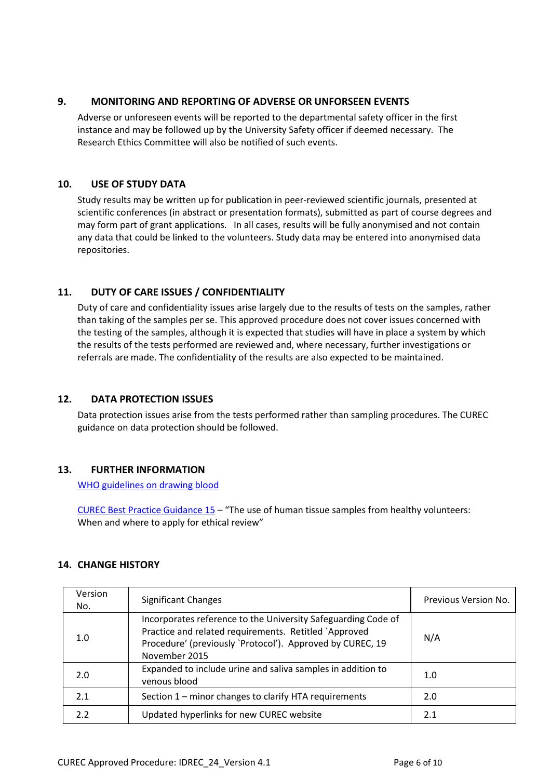### **9. MONITORING AND REPORTING OF ADVERSE OR UNFORSEEN EVENTS**

Adverse or unforeseen events will be reported to the departmental safety officer in the first instance and may be followed up by the University Safety officer if deemed necessary. The Research Ethics Committee will also be notified of such events.

### **10. USE OF STUDY DATA**

Study results may be written up for publication in peer-reviewed scientific journals, presented at scientific conferences (in abstract or presentation formats), submitted as part of course degrees and may form part of grant applications. In all cases, results will be fully anonymised and not contain any data that could be linked to the volunteers. Study data may be entered into anonymised data repositories.

# **11. DUTY OF CARE ISSUES / CONFIDENTIALITY**

Duty of care and confidentiality issues arise largely due to the results of tests on the samples, rather than taking of the samples per se. This approved procedure does not cover issues concerned with the testing of the samples, although it is expected that studies will have in place a system by which the results of the tests performed are reviewed and, where necessary, further investigations or referrals are made. The confidentiality of the results are also expected to be maintained.

### **12. DATA PROTECTION ISSUES**

Data protection issues arise from the tests performed rather than sampling procedures. The CUREC guidance on data protection should be followed.

### **13. FURTHER INFORMATION**

[WHO guidelines on drawing blood](http://whqlibdoc.who.int/publications/2010/9789241599221_eng.pdf)

[CUREC Best Practice Guidance 15](http://researchsupport.admin.ox.ac.uk/governance/ethics/resources/bpg) – "The use of human tissue samples from healthy volunteers: When and where to apply for ethical review"

### **14. CHANGE HISTORY**

| Version<br>No. | <b>Significant Changes</b>                                                                                                                                                                           | Previous Version No. |
|----------------|------------------------------------------------------------------------------------------------------------------------------------------------------------------------------------------------------|----------------------|
| 1.0            | Incorporates reference to the University Safeguarding Code of<br>Practice and related requirements. Retitled `Approved<br>Procedure' (previously 'Protocol'). Approved by CUREC, 19<br>November 2015 | N/A                  |
| 2.0            | Expanded to include urine and saliva samples in addition to<br>venous blood                                                                                                                          | 1.0                  |
| 2.1            | Section 1 – minor changes to clarify HTA requirements                                                                                                                                                | 2.0                  |
| 2.2            | Updated hyperlinks for new CUREC website                                                                                                                                                             | 2.1                  |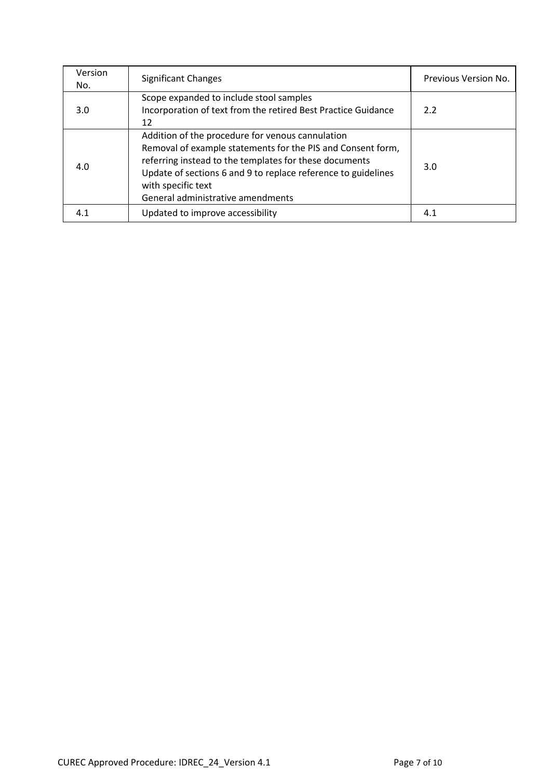| Version<br>No. | <b>Significant Changes</b>                                                                                                                                                                                                                                                                            | Previous Version No. |
|----------------|-------------------------------------------------------------------------------------------------------------------------------------------------------------------------------------------------------------------------------------------------------------------------------------------------------|----------------------|
| 3.0            | Scope expanded to include stool samples<br>Incorporation of text from the retired Best Practice Guidance<br>12                                                                                                                                                                                        | 2.2                  |
| 4.0            | Addition of the procedure for venous cannulation<br>Removal of example statements for the PIS and Consent form,<br>referring instead to the templates for these documents<br>Update of sections 6 and 9 to replace reference to guidelines<br>with specific text<br>General administrative amendments | 3.0                  |
| 4.1            | Updated to improve accessibility                                                                                                                                                                                                                                                                      | 4.1                  |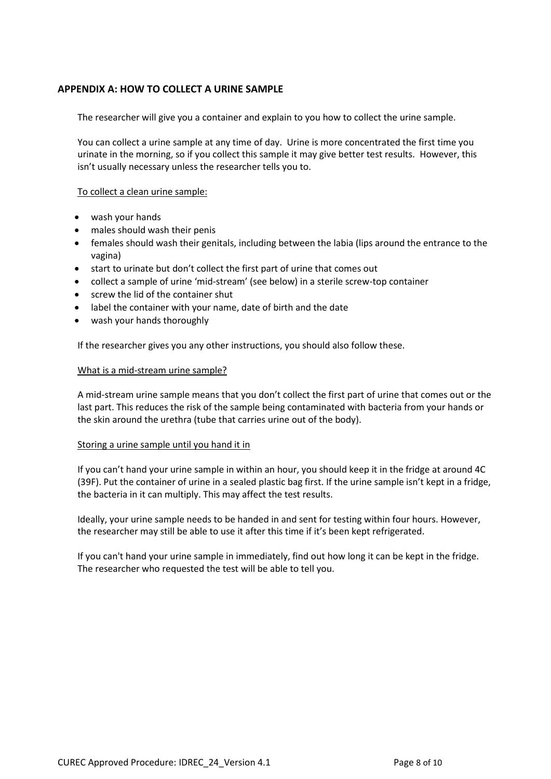### **APPENDIX A: HOW TO COLLECT A URINE SAMPLE**

The researcher will give you a container and explain to you how to collect the urine sample.

You can collect a urine sample at any time of day. Urine is more concentrated the first time you urinate in the morning, so if you collect this sample it may give better test results. However, this isn't usually necessary unless the researcher tells you to.

To collect a clean urine sample:

- wash your hands
- males should wash their penis
- females should wash their genitals, including between the labia (lips around the entrance to the vagina)
- start to urinate but don't collect the first part of urine that comes out
- collect a sample of urine 'mid-stream' (see below) in a sterile screw-top container
- screw the lid of the container shut
- label the container with your name, date of birth and the date
- wash your hands thoroughly

If the researcher gives you any other instructions, you should also follow these.

#### What is a mid-stream urine sample?

A mid-stream urine sample means that you don't collect the first part of urine that comes out or the last part. This reduces the risk of the sample being contaminated with bacteria from your hands or the skin around the urethra (tube that carries urine out of the body).

#### Storing a urine sample until you hand it in

If you can't hand your urine sample in within an hour, you should keep it in the fridge at around 4C (39F). Put the container of urine in a sealed plastic bag first. If the urine sample isn't kept in a fridge, the bacteria in it can multiply. This may affect the test results.

Ideally, your urine sample needs to be handed in and sent for testing within four hours. However, the researcher may still be able to use it after this time if it's been kept refrigerated.

If you can't hand your urine sample in immediately, find out how long it can be kept in the fridge. The researcher who requested the test will be able to tell you.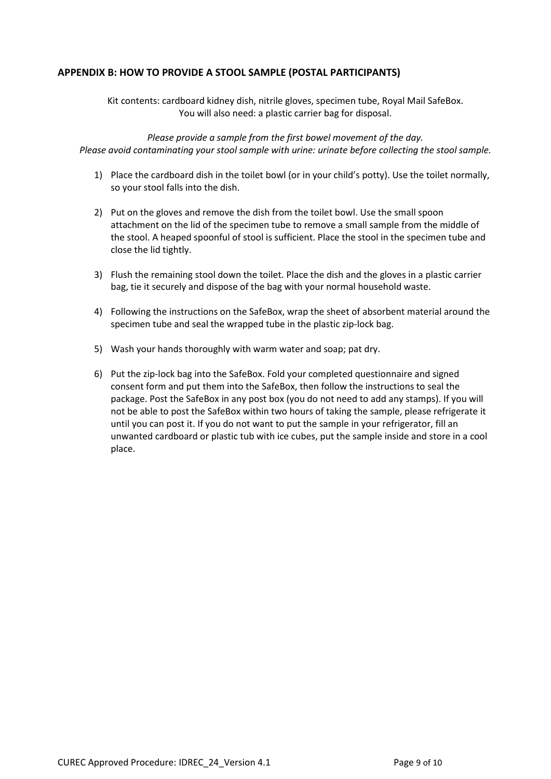### **APPENDIX B: HOW TO PROVIDE A STOOL SAMPLE (POSTAL PARTICIPANTS)**

Kit contents: cardboard kidney dish, nitrile gloves, specimen tube, Royal Mail SafeBox. You will also need: a plastic carrier bag for disposal.

*Please provide a sample from the first bowel movement of the day. Please avoid contaminating your stool sample with urine: urinate before collecting the stool sample.*

- 1) Place the cardboard dish in the toilet bowl (or in your child's potty). Use the toilet normally, so your stool falls into the dish.
- 2) Put on the gloves and remove the dish from the toilet bowl. Use the small spoon attachment on the lid of the specimen tube to remove a small sample from the middle of the stool. A heaped spoonful of stool is sufficient. Place the stool in the specimen tube and close the lid tightly.
- 3) Flush the remaining stool down the toilet. Place the dish and the gloves in a plastic carrier bag, tie it securely and dispose of the bag with your normal household waste.
- 4) Following the instructions on the SafeBox, wrap the sheet of absorbent material around the specimen tube and seal the wrapped tube in the plastic zip-lock bag.
- 5) Wash your hands thoroughly with warm water and soap; pat dry.
- 6) Put the zip-lock bag into the SafeBox. Fold your completed questionnaire and signed consent form and put them into the SafeBox, then follow the instructions to seal the package. Post the SafeBox in any post box (you do not need to add any stamps). If you will not be able to post the SafeBox within two hours of taking the sample, please refrigerate it until you can post it. If you do not want to put the sample in your refrigerator, fill an unwanted cardboard or plastic tub with ice cubes, put the sample inside and store in a cool place.